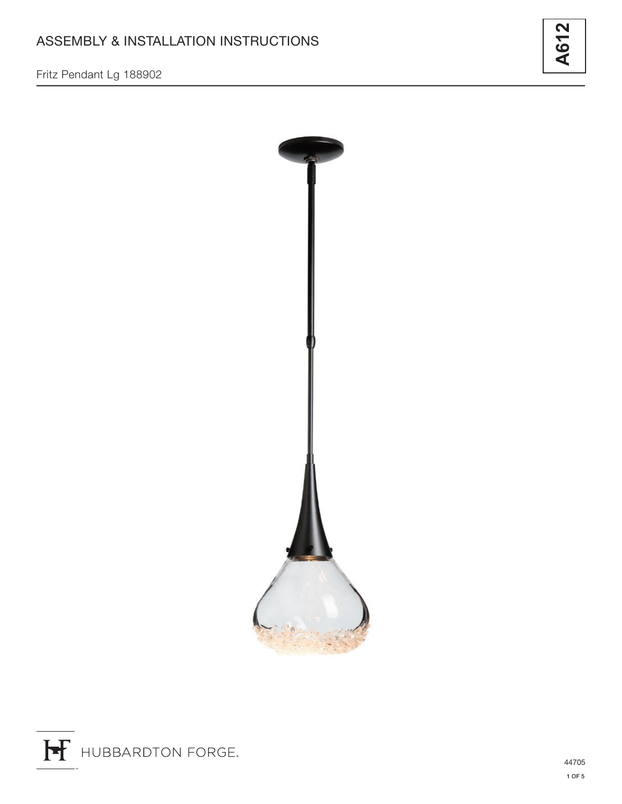Fritz Pendant Lg 188902





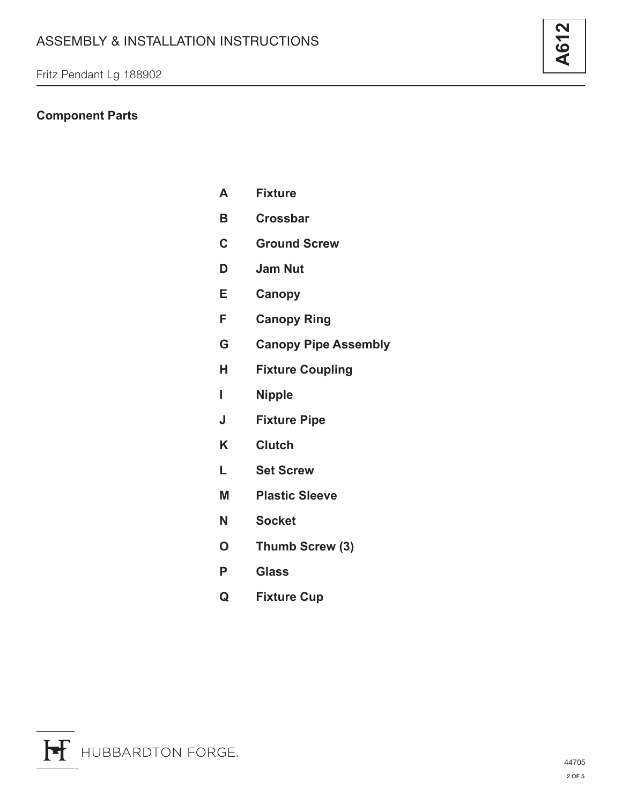# **Component Parts**

| A  | <b>Fixture</b>              |
|----|-----------------------------|
| В  | <b>Crossbar</b>             |
| C  | <b>Ground Screw</b>         |
| D  | <b>Jam Nut</b>              |
| E  | <b>Canopy</b>               |
| F  | <b>Canopy Ring</b>          |
| G. | <b>Canopy Pipe Assembly</b> |
| н  | <b>Fixture Coupling</b>     |
| L  | <b>Nipple</b>               |
| J  | <b>Fixture Pipe</b>         |
| Κ  | <b>Clutch</b>               |
| L  | <b>Set Screw</b>            |
| Μ  | <b>Plastic Sleeve</b>       |
| N  | <b>Socket</b>               |
| O  | Thumb Screw (3)             |
| P  | <b>Glass</b>                |

**Q Fixture Cup**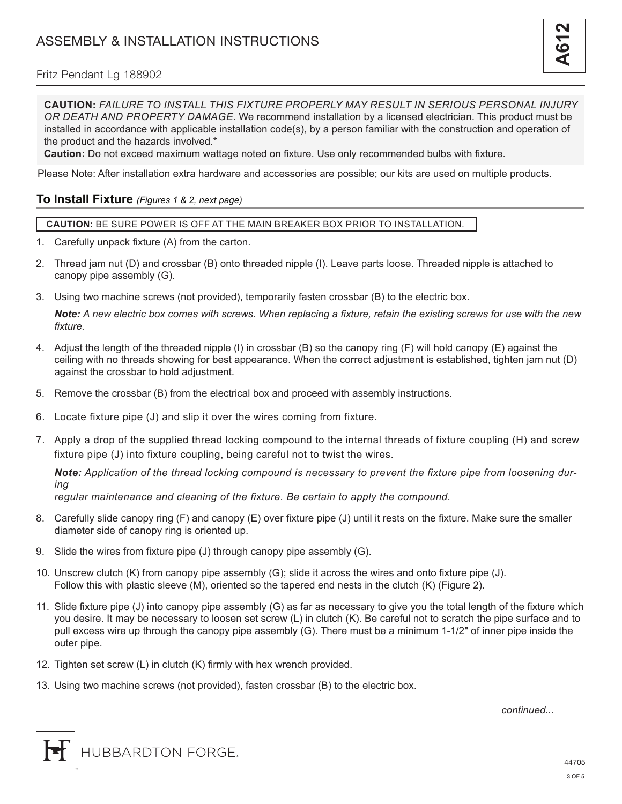#### Fritz Pendant Lg 188902

**CAUTION:** *FAILURE TO INSTALL THIS FIXTURE PROPERLY MAY RESULT IN SERIOUS PERSONAL INJURY OR DEATH AND PROPERTY DAMAGE.* We recommend installation by a licensed electrician. This product must be installed in accordance with applicable installation code(s), by a person familiar with the construction and operation of the product and the hazards involved.\*

**Caution:** Do not exceed maximum wattage noted on fixture. Use only recommended bulbs with fixture.

Please Note: After installation extra hardware and accessories are possible; our kits are used on multiple products.

#### **To Install Fixture** *(Figures 1 & 2, next page)*

**CAUTION:** BE SURE POWER IS OFF AT THE MAIN BREAKER BOX PRIOR TO INSTALLATION.

- 1. Carefully unpack fixture (A) from the carton.
- 2. Thread jam nut (D) and crossbar (B) onto threaded nipple (I). Leave parts loose. Threaded nipple is attached to canopy pipe assembly (G).
- 3. Using two machine screws (not provided), temporarily fasten crossbar (B) to the electric box.

*Note: A new electric box comes with screws. When replacing a fixture, retain the existing screws for use with the new fixture.*

- 4. Adjust the length of the threaded nipple (I) in crossbar (B) so the canopy ring (F) will hold canopy (E) against the ceiling with no threads showing for best appearance. When the correct adjustment is established, tighten jam nut (D) against the crossbar to hold adjustment.
- 5. Remove the crossbar (B) from the electrical box and proceed with assembly instructions.
- 6. Locate fixture pipe (J) and slip it over the wires coming from fixture.
- 7. Apply a drop of the supplied thread locking compound to the internal threads of fixture coupling (H) and screw fixture pipe (J) into fixture coupling, being careful not to twist the wires.

*Note: Application of the thread locking compound is necessary to prevent the fixture pipe from loosening during*

*regular maintenance and cleaning of the fixture. Be certain to apply the compound.*

- 8. Carefully slide canopy ring (F) and canopy (E) over fixture pipe (J) until it rests on the fixture. Make sure the smaller diameter side of canopy ring is oriented up.
- 9. Slide the wires from fixture pipe (J) through canopy pipe assembly (G).
- 10. Unscrew clutch (K) from canopy pipe assembly (G); slide it across the wires and onto fixture pipe (J). Follow this with plastic sleeve (M), oriented so the tapered end nests in the clutch (K) (Figure 2).
- 11. Slide fixture pipe (J) into canopy pipe assembly (G) as far as necessary to give you the total length of the fixture which you desire. It may be necessary to loosen set screw (L) in clutch (K). Be careful not to scratch the pipe surface and to pull excess wire up through the canopy pipe assembly (G). There must be a minimum 1-1/2" of inner pipe inside the outer pipe.
- 12. Tighten set screw (L) in clutch (K) firmly with hex wrench provided.
- 13. Using two machine screws (not provided), fasten crossbar (B) to the electric box.

*continued...*

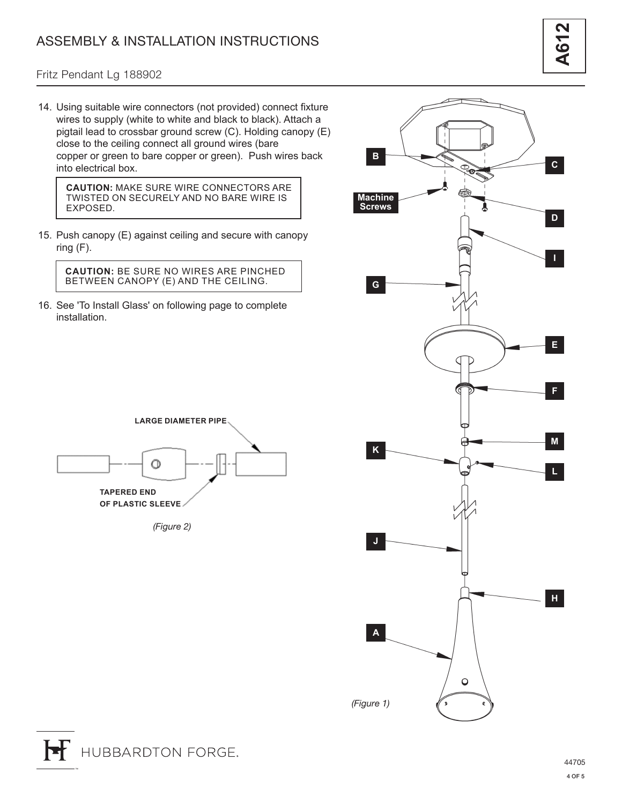### Fritz Pendant Lg 188902

14. Using suitable wire connectors (not provided) connect fixture wires to supply (white to white and black to black). Attach a pigtail lead to crossbar ground screw (C). Holding canopy (E) close to the ceiling connect all ground wires (bare copper or green to bare copper or green). Push wires back into electrical box.

**CAUTION:** MAKE SURE WIRE CONNECTORS ARE TWISTED ON SECURELY AND NO BARE WIRE IS EXPOSED.

15. Push canopy (E) against ceiling and secure with canopy ring (F).

**CAUTION:** BE SURE NO WIRES ARE PINCHED BETWEEN CANOPY (E) AND THE CEILING.

16. See 'To Install Glass' on following page to complete installation.



*(Figure 2)*